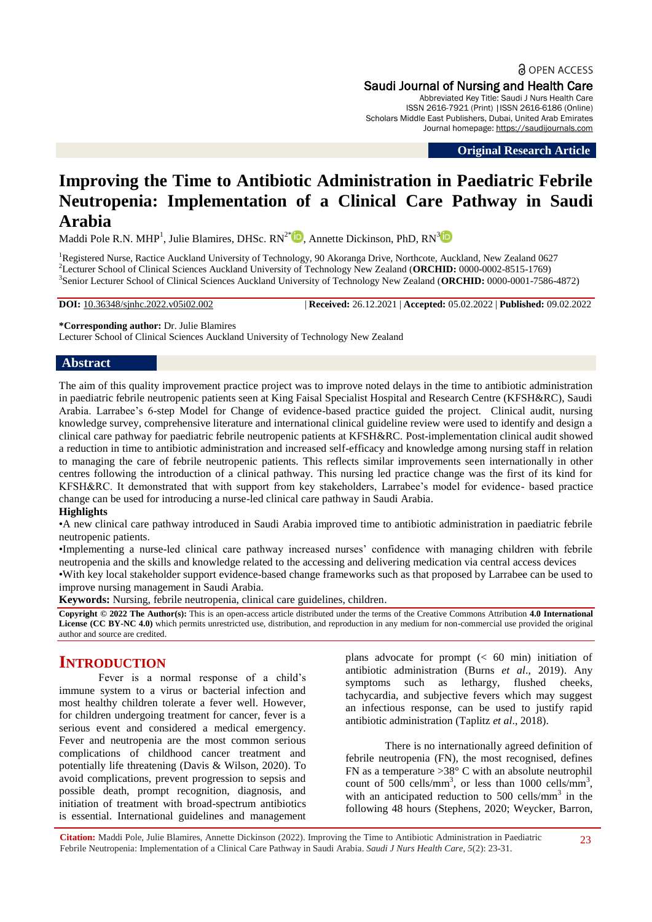**a** OPEN ACCESS Saudi Journal of Nursing and Health Care Abbreviated Key Title: Saudi J Nurs Health Care ISSN 2616-7921 (Print) |ISSN 2616-6186 (Online) Scholars Middle East Publishers, Dubai, United Arab Emirates

**Original Research Article**

Journal homepage: [https://saudijournals.com](https://saudijournals.com/sjnhc)

# **Improving the Time to Antibiotic Administration in Paediatric Febrile Neutropenia: Implementation of a Clinical Care Pathway in Saudi Arabia**

Maddi Pole R.N. MHP<sup>1</sup>, Julie Blamires, DHSc. RN<sup>2[\\*](0000-0002-8515-1769)</sup><sup>1</sup>, Annette Dickinson, PhD, RN<sup>[3](0000-0001-7586-4872)</sup>

<sup>1</sup>Registered Nurse, Ractice Auckland University of Technology, 90 Akoranga Drive, Northcote, Auckland, New Zealand 0627 <sup>2</sup>Lecturer School of Clinical Sciences Auckland University of Technology New Zealand (**ORCHID:** 0000-0002-8515-1769) 3 Senior Lecturer School of Clinical Sciences Auckland University of Technology New Zealand (**ORCHID:** 0000-0001-7586-4872)

**DOI:** 10.36348/sjnhc.2022.v05i02.002 | **Received:** 26.12.2021 | **Accepted:** 05.02.2022 | **Published:** 09.02.2022

**\*Corresponding author:** Dr. Julie Blamires

Lecturer School of Clinical Sciences Auckland University of Technology New Zealand

#### **Abstract**

The aim of this quality improvement practice project was to improve noted delays in the time to antibiotic administration in paediatric febrile neutropenic patients seen at King Faisal Specialist Hospital and Research Centre (KFSH&RC), Saudi Arabia. Larrabee's 6-step Model for Change of evidence-based practice guided the project. Clinical audit, nursing knowledge survey, comprehensive literature and international clinical guideline review were used to identify and design a clinical care pathway for paediatric febrile neutropenic patients at KFSH&RC. Post-implementation clinical audit showed a reduction in time to antibiotic administration and increased self-efficacy and knowledge among nursing staff in relation to managing the care of febrile neutropenic patients. This reflects similar improvements seen internationally in other centres following the introduction of a clinical pathway. This nursing led practice change was the first of its kind for KFSH&RC. It demonstrated that with support from key stakeholders, Larrabee's model for evidence- based practice change can be used for introducing a nurse-led clinical care pathway in Saudi Arabia.

#### **Highlights**

•A new clinical care pathway introduced in Saudi Arabia improved time to antibiotic administration in paediatric febrile neutropenic patients.

•Implementing a nurse-led clinical care pathway increased nurses' confidence with managing children with febrile neutropenia and the skills and knowledge related to the accessing and delivering medication via central access devices

•With key local stakeholder support evidence-based change frameworks such as that proposed by Larrabee can be used to improve nursing management in Saudi Arabia.

**Keywords:** Nursing, febrile neutropenia, clinical care guidelines, children.

**Copyright © 2022 The Author(s):** This is an open-access article distributed under the terms of the Creative Commons Attribution **4.0 International License (CC BY-NC 4.0)** which permits unrestricted use, distribution, and reproduction in any medium for non-commercial use provided the original author and source are credited.

## **INTRODUCTION**

Fever is a normal response of a child's immune system to a virus or bacterial infection and most healthy children tolerate a fever well. However, for children undergoing treatment for cancer, fever is a serious event and considered a medical emergency. Fever and neutropenia are the most common serious complications of childhood cancer treatment and potentially life threatening (Davis & Wilson, 2020). To avoid complications, prevent progression to sepsis and possible death, prompt recognition, diagnosis, and initiation of treatment with broad-spectrum antibiotics is essential. International guidelines and management plans advocate for prompt  $\langle \leq 60 \rangle$  min) initiation of antibiotic administration (Burns *et al*., 2019). Any symptoms such as lethargy, flushed cheeks, tachycardia, and subjective fevers which may suggest an infectious response, can be used to justify rapid antibiotic administration (Taplitz *et al*., 2018).

There is no internationally agreed definition of febrile neutropenia (FN), the most recognised, defines FN as a temperature  $>38^{\circ}$  C with an absolute neutrophil count of 500 cells/mm<sup>3</sup>, or less than 1000 cells/mm<sup>3</sup>, with an anticipated reduction to  $500$  cells/mm<sup>3</sup> in the following 48 hours (Stephens, 2020; Weycker, Barron,

**Citation:** Maddi Pole, Julie Blamires, Annette Dickinson (2022). Improving the Time to Antibiotic Administration in Paediatric Febrile Neutropenia: Implementation of a Clinical Care Pathway in Saudi Arabia. *Saudi J Nurs Health Care, 5*(2): 23-31.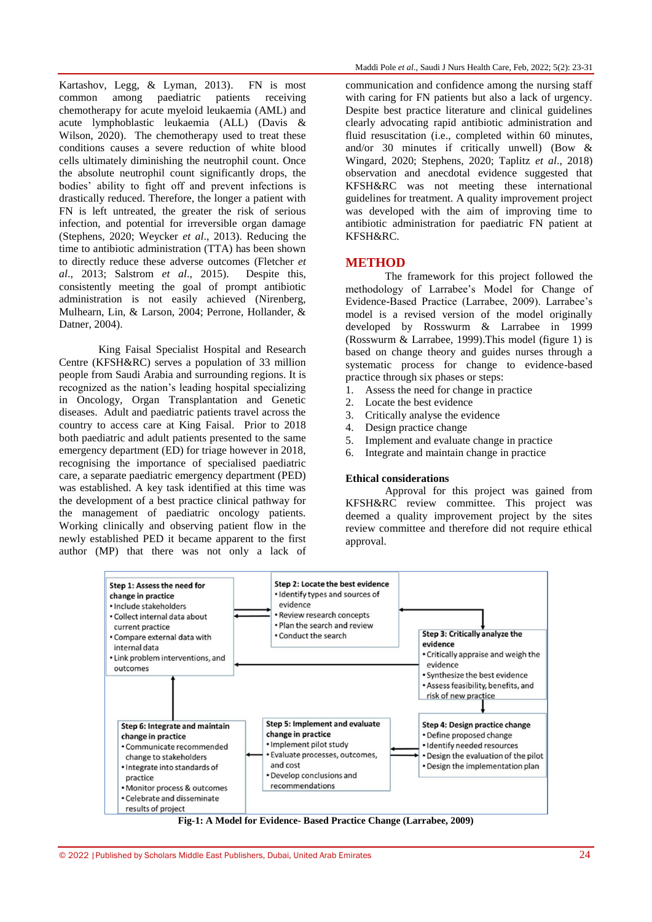Kartashov, Legg, & Lyman, 2013). FN is most common among paediatric patients receiving chemotherapy for acute myeloid leukaemia (AML) and acute lymphoblastic leukaemia (ALL) (Davis & Wilson, 2020). The chemotherapy used to treat these conditions causes a severe reduction of white blood cells ultimately diminishing the neutrophil count. Once the absolute neutrophil count significantly drops, the bodies' ability to fight off and prevent infections is drastically reduced. Therefore, the longer a patient with FN is left untreated, the greater the risk of serious infection, and potential for irreversible organ damage (Stephens, 2020; Weycker *et al*., 2013). Reducing the time to antibiotic administration (TTA) has been shown to directly reduce these adverse outcomes (Fletcher *et al*., 2013; Salstrom *et al*., 2015). Despite this, consistently meeting the goal of prompt antibiotic administration is not easily achieved (Nirenberg, Mulhearn, Lin, & Larson, 2004; Perrone, Hollander, & Datner, 2004).

King Faisal Specialist Hospital and Research Centre (KFSH&RC) serves a population of 33 million people from Saudi Arabia and surrounding regions. It is recognized as the nation's leading hospital specializing in Oncology, Organ Transplantation and Genetic diseases. Adult and paediatric patients travel across the country to access care at King Faisal. Prior to 2018 both paediatric and adult patients presented to the same emergency department (ED) for triage however in 2018, recognising the importance of specialised paediatric care, a separate paediatric emergency department (PED) was established. A key task identified at this time was the development of a best practice clinical pathway for the management of paediatric oncology patients. Working clinically and observing patient flow in the newly established PED it became apparent to the first author (MP) that there was not only a lack of

communication and confidence among the nursing staff with caring for FN patients but also a lack of urgency. Despite best practice literature and clinical guidelines clearly advocating rapid antibiotic administration and fluid resuscitation (i.e., completed within 60 minutes, and/or 30 minutes if critically unwell) (Bow & Wingard, 2020; Stephens, 2020; Taplitz *et al*., 2018) observation and anecdotal evidence suggested that KFSH&RC was not meeting these international guidelines for treatment. A quality improvement project was developed with the aim of improving time to antibiotic administration for paediatric FN patient at KFSH&RC.

#### **METHOD**

The framework for this project followed the methodology of Larrabee's Model for Change of Evidence-Based Practice (Larrabee, 2009). Larrabee's model is a revised version of the model originally developed by Rosswurm & Larrabee in 1999 (Rosswurm & Larrabee, 1999).This model (figure 1) is based on change theory and guides nurses through a systematic process for change to evidence-based practice through six phases or steps:

- 1. Assess the need for change in practice
- 2. Locate the best evidence
- 3. Critically analyse the evidence
- 4. Design practice change
- 5. Implement and evaluate change in practice
- 6. Integrate and maintain change in practice

#### **Ethical considerations**

Approval for this project was gained from KFSH&RC review committee. This project was deemed a quality improvement project by the sites review committee and therefore did not require ethical approval.



**Fig-1: A Model for Evidence- Based Practice Change (Larrabee, 2009)**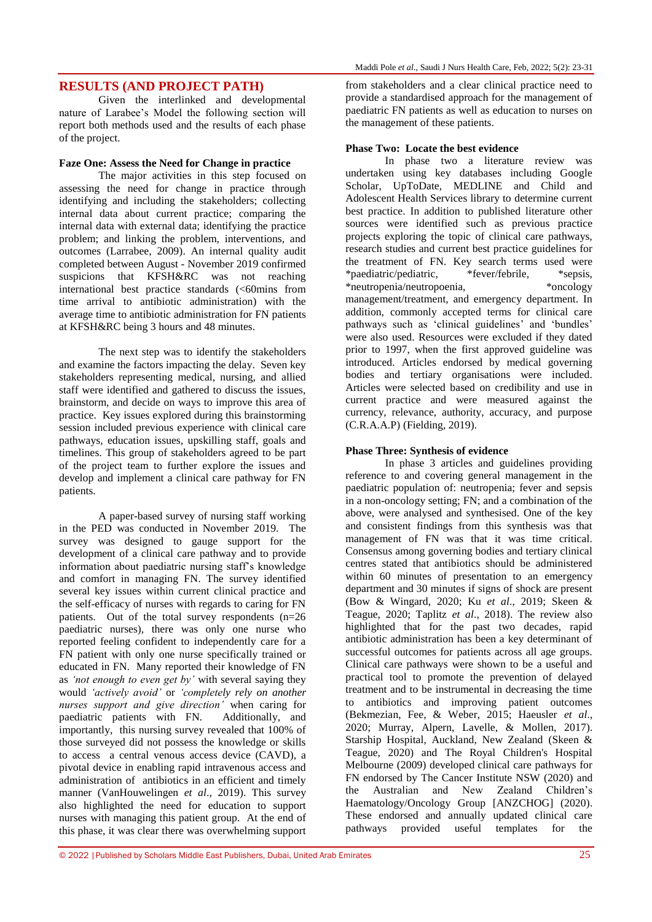## **RESULTS (AND PROJECT PATH)**

Given the interlinked and developmental nature of Larabee's Model the following section will report both methods used and the results of each phase of the project.

#### **Faze One: Assess the Need for Change in practice**

The major activities in this step focused on assessing the need for change in practice through identifying and including the stakeholders; collecting internal data about current practice; comparing the internal data with external data; identifying the practice problem; and linking the problem, interventions, and outcomes (Larrabee, 2009). An internal quality audit completed between August - November 2019 confirmed suspicions that KFSH&RC was not reaching international best practice standards (<60mins from time arrival to antibiotic administration) with the average time to antibiotic administration for FN patients at KFSH&RC being 3 hours and 48 minutes.

The next step was to identify the stakeholders and examine the factors impacting the delay. Seven key stakeholders representing medical, nursing, and allied staff were identified and gathered to discuss the issues, brainstorm, and decide on ways to improve this area of practice. Key issues explored during this brainstorming session included previous experience with clinical care pathways, education issues, upskilling staff, goals and timelines. This group of stakeholders agreed to be part of the project team to further explore the issues and develop and implement a clinical care pathway for FN patients.

A paper-based survey of nursing staff working in the PED was conducted in November 2019. The survey was designed to gauge support for the development of a clinical care pathway and to provide information about paediatric nursing staff's knowledge and comfort in managing FN. The survey identified several key issues within current clinical practice and the self-efficacy of nurses with regards to caring for FN patients. Out of the total survey respondents (n=26 paediatric nurses), there was only one nurse who reported feeling confident to independently care for a FN patient with only one nurse specifically trained or educated in FN. Many reported their knowledge of FN as *'not enough to even get by'* with several saying they would *'actively avoid'* or *'completely rely on another nurses support and give direction'* when caring for paediatric patients with FN. Additionally, and paediatric patients with FN. importantly, this nursing survey revealed that 100% of those surveyed did not possess the knowledge or skills to access a central venous access device (CAVD), a pivotal device in enabling rapid intravenous access and administration of antibiotics in an efficient and timely manner (VanHouwelingen *et al*., 2019). This survey also highlighted the need for education to support nurses with managing this patient group. At the end of this phase, it was clear there was overwhelming support

from stakeholders and a clear clinical practice need to provide a standardised approach for the management of paediatric FN patients as well as education to nurses on the management of these patients.

#### **Phase Two: Locate the best evidence**

In phase two a literature review was undertaken using key databases including Google Scholar, UpToDate, MEDLINE and Child and Adolescent Health Services library to determine current best practice. In addition to published literature other sources were identified such as previous practice projects exploring the topic of clinical care pathways, research studies and current best practice guidelines for the treatment of FN. Key search terms used were \*paediatric/pediatric, \*fever/febrile, \*sepsis, \*neutropenia/neutropoenia, \*oncology management/treatment, and emergency department. In addition, commonly accepted terms for clinical care pathways such as 'clinical guidelines' and 'bundles' were also used. Resources were excluded if they dated prior to 1997, when the first approved guideline was introduced. Articles endorsed by medical governing bodies and tertiary organisations were included. Articles were selected based on credibility and use in current practice and were measured against the currency, relevance, authority, accuracy, and purpose (C.R.A.A.P) (Fielding, 2019).

#### **Phase Three: Synthesis of evidence**

In phase 3 articles and guidelines providing reference to and covering general management in the paediatric population of: neutropenia; fever and sepsis in a non-oncology setting; FN; and a combination of the above, were analysed and synthesised. One of the key and consistent findings from this synthesis was that management of FN was that it was time critical. Consensus among governing bodies and tertiary clinical centres stated that antibiotics should be administered within 60 minutes of presentation to an emergency department and 30 minutes if signs of shock are present (Bow & Wingard, 2020; Ku *et al*., 2019; Skeen & Teague, 2020; Taplitz *et al*., 2018). The review also highlighted that for the past two decades, rapid antibiotic administration has been a key determinant of successful outcomes for patients across all age groups. Clinical care pathways were shown to be a useful and practical tool to promote the prevention of delayed treatment and to be instrumental in decreasing the time to antibiotics and improving patient outcomes (Bekmezian, Fee, & Weber, 2015; Haeusler *et al*., 2020; Murray, Alpern, Lavelle, & Mollen, 2017). Starship Hospital, Auckland, New Zealand (Skeen & Teague, 2020) and The Royal Children's Hospital Melbourne (2009) developed clinical care pathways for FN endorsed by The Cancer Institute NSW (2020) and the Australian and New Zealand Children's Haematology/Oncology Group [ANZCHOG] (2020). These endorsed and annually updated clinical care pathways provided useful templates for the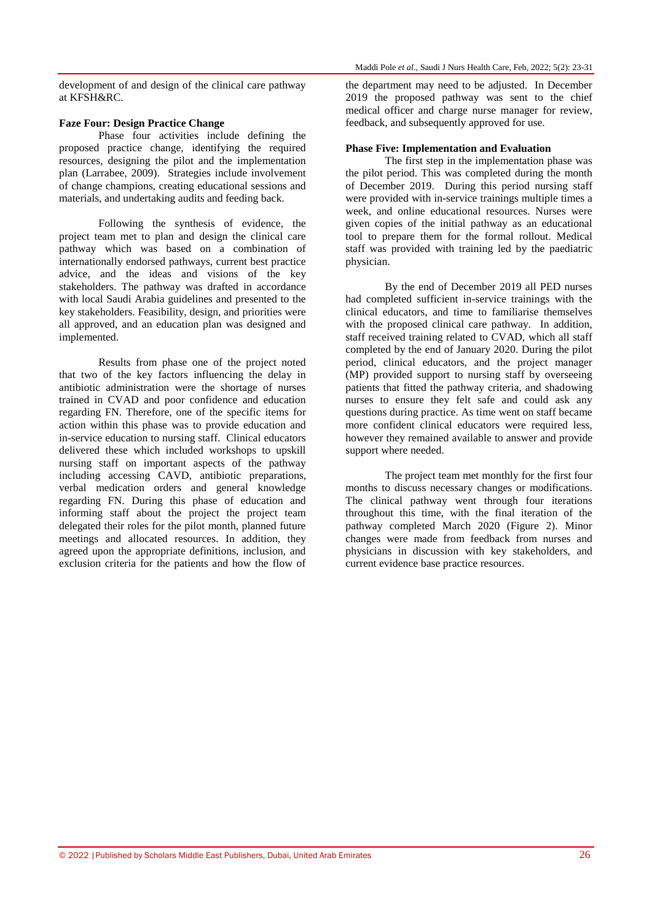development of and design of the clinical care pathway at KFSH&RC.

#### **Faze Four: Design Practice Change**

Phase four activities include defining the proposed practice change, identifying the required resources, designing the pilot and the implementation plan (Larrabee, 2009). Strategies include involvement of change champions, creating educational sessions and materials, and undertaking audits and feeding back.

Following the synthesis of evidence, the project team met to plan and design the clinical care pathway which was based on a combination of internationally endorsed pathways, current best practice advice, and the ideas and visions of the key stakeholders. The pathway was drafted in accordance with local Saudi Arabia guidelines and presented to the key stakeholders. Feasibility, design, and priorities were all approved, and an education plan was designed and implemented.

Results from phase one of the project noted that two of the key factors influencing the delay in antibiotic administration were the shortage of nurses trained in CVAD and poor confidence and education regarding FN. Therefore, one of the specific items for action within this phase was to provide education and in-service education to nursing staff. Clinical educators delivered these which included workshops to upskill nursing staff on important aspects of the pathway including accessing CAVD, antibiotic preparations, verbal medication orders and general knowledge regarding FN. During this phase of education and informing staff about the project the project team delegated their roles for the pilot month, planned future meetings and allocated resources. In addition, they agreed upon the appropriate definitions, inclusion, and exclusion criteria for the patients and how the flow of

the department may need to be adjusted. In December 2019 the proposed pathway was sent to the chief medical officer and charge nurse manager for review, feedback, and subsequently approved for use.

#### **Phase Five: Implementation and Evaluation**

The first step in the implementation phase was the pilot period. This was completed during the month of December 2019. During this period nursing staff were provided with in-service trainings multiple times a week, and online educational resources. Nurses were given copies of the initial pathway as an educational tool to prepare them for the formal rollout. Medical staff was provided with training led by the paediatric physician.

By the end of December 2019 all PED nurses had completed sufficient in-service trainings with the clinical educators, and time to familiarise themselves with the proposed clinical care pathway. In addition, staff received training related to CVAD, which all staff completed by the end of January 2020. During the pilot period, clinical educators, and the project manager (MP) provided support to nursing staff by overseeing patients that fitted the pathway criteria, and shadowing nurses to ensure they felt safe and could ask any questions during practice. As time went on staff became more confident clinical educators were required less, however they remained available to answer and provide support where needed.

The project team met monthly for the first four months to discuss necessary changes or modifications. The clinical pathway went through four iterations throughout this time, with the final iteration of the pathway completed March 2020 (Figure 2). Minor changes were made from feedback from nurses and physicians in discussion with key stakeholders, and current evidence base practice resources.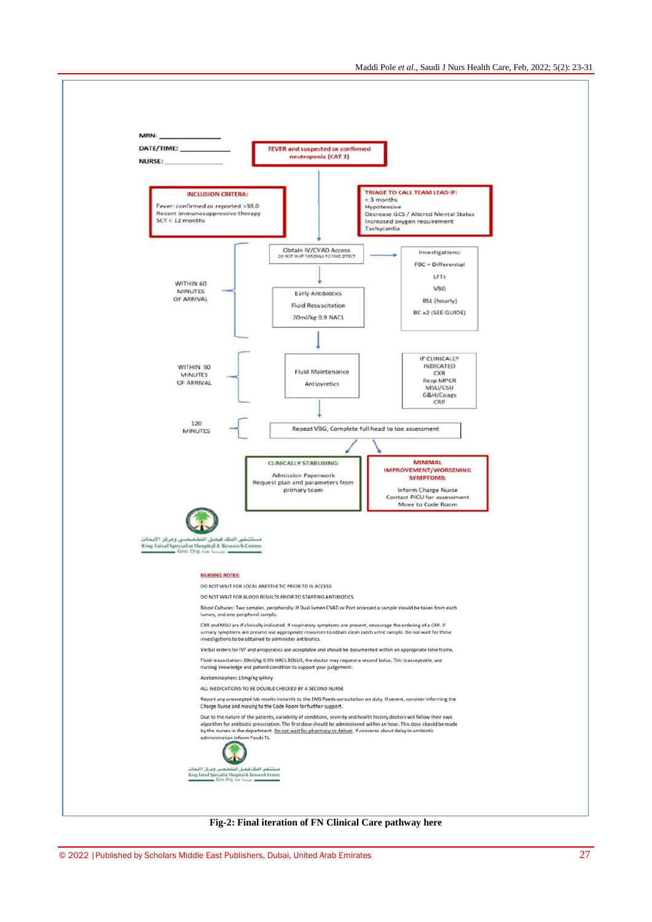

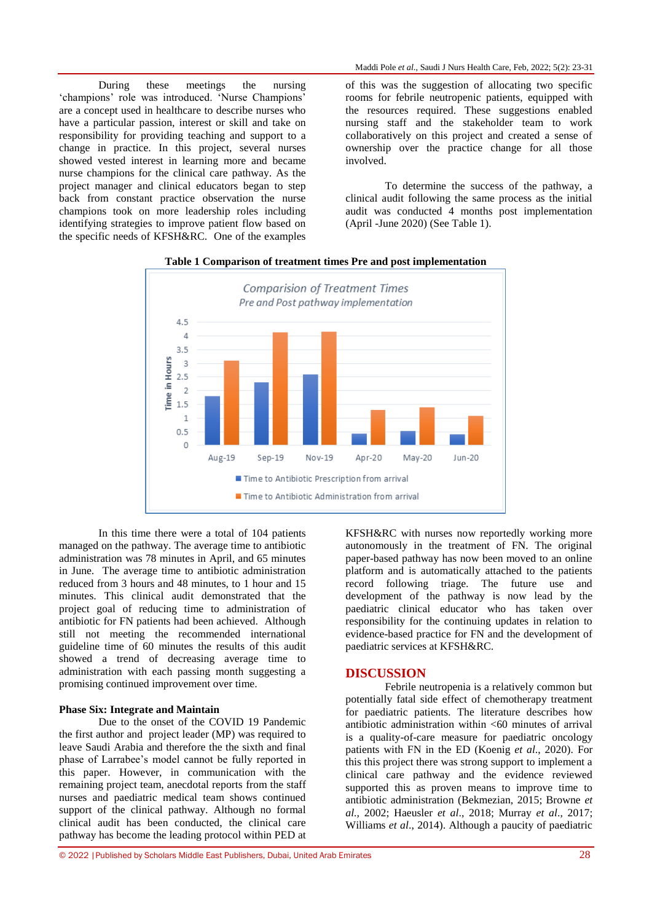Maddi Pole *et al*., Saudi J Nurs Health Care, Feb, 2022; 5(2): 23-31

During these meetings the nursing 'champions' role was introduced. 'Nurse Champions' are a concept used in healthcare to describe nurses who have a particular passion, interest or skill and take on responsibility for providing teaching and support to a change in practice. In this project, several nurses showed vested interest in learning more and became nurse champions for the clinical care pathway. As the project manager and clinical educators began to step back from constant practice observation the nurse champions took on more leadership roles including identifying strategies to improve patient flow based on the specific needs of KFSH&RC. One of the examples

of this was the suggestion of allocating two specific rooms for febrile neutropenic patients, equipped with the resources required. These suggestions enabled nursing staff and the stakeholder team to work collaboratively on this project and created a sense of ownership over the practice change for all those involved.

To determine the success of the pathway, a clinical audit following the same process as the initial audit was conducted 4 months post implementation (April -June 2020) (See Table 1).



#### **Table 1 Comparison of treatment times Pre and post implementation**

In this time there were a total of 104 patients managed on the pathway. The average time to antibiotic administration was 78 minutes in April, and 65 minutes in June. The average time to antibiotic administration reduced from 3 hours and 48 minutes, to 1 hour and 15 minutes. This clinical audit demonstrated that the project goal of reducing time to administration of antibiotic for FN patients had been achieved. Although still not meeting the recommended international guideline time of 60 minutes the results of this audit showed a trend of decreasing average time to administration with each passing month suggesting a promising continued improvement over time.

#### **Phase Six: Integrate and Maintain**

Due to the onset of the COVID 19 Pandemic the first author and project leader (MP) was required to leave Saudi Arabia and therefore the the sixth and final phase of Larrabee's model cannot be fully reported in this paper. However, in communication with the remaining project team, anecdotal reports from the staff nurses and paediatric medical team shows continued support of the clinical pathway. Although no formal clinical audit has been conducted, the clinical care pathway has become the leading protocol within PED at

KFSH&RC with nurses now reportedly working more autonomously in the treatment of FN. The original paper-based pathway has now been moved to an online platform and is automatically attached to the patients record following triage. The future use and development of the pathway is now lead by the paediatric clinical educator who has taken over responsibility for the continuing updates in relation to evidence-based practice for FN and the development of paediatric services at KFSH&RC.

#### **DISCUSSION**

Febrile neutropenia is a relatively common but potentially fatal side effect of chemotherapy treatment for paediatric patients. The literature describes how antibiotic administration within <60 minutes of arrival is a quality-of-care measure for paediatric oncology patients with FN in the ED (Koenig *et al*., 2020). For this this project there was strong support to implement a clinical care pathway and the evidence reviewed supported this as proven means to improve time to antibiotic administration (Bekmezian, 2015; Browne *et al.,* 2002; Haeusler *et al*., 2018; Murray *et al*., 2017; Williams *et al*., 2014). Although a paucity of paediatric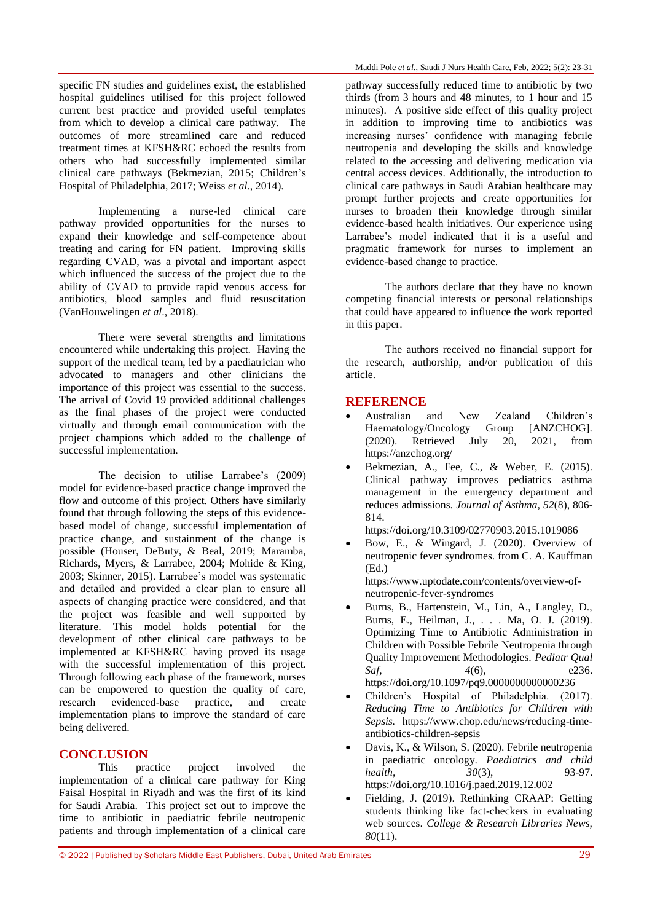specific FN studies and guidelines exist, the established hospital guidelines utilised for this project followed current best practice and provided useful templates from which to develop a clinical care pathway. The outcomes of more streamlined care and reduced treatment times at KFSH&RC echoed the results from others who had successfully implemented similar clinical care pathways (Bekmezian, 2015; Children's Hospital of Philadelphia, 2017; Weiss *et al*., 2014).

Implementing a nurse-led clinical care pathway provided opportunities for the nurses to expand their knowledge and self-competence about treating and caring for FN patient. Improving skills regarding CVAD, was a pivotal and important aspect which influenced the success of the project due to the ability of CVAD to provide rapid venous access for antibiotics, blood samples and fluid resuscitation (VanHouwelingen *et al*., 2018).

There were several strengths and limitations encountered while undertaking this project. Having the support of the medical team, led by a paediatrician who advocated to managers and other clinicians the importance of this project was essential to the success. The arrival of Covid 19 provided additional challenges as the final phases of the project were conducted virtually and through email communication with the project champions which added to the challenge of successful implementation.

The decision to utilise Larrabee's (2009) model for evidence-based practice change improved the flow and outcome of this project. Others have similarly found that through following the steps of this evidencebased model of change, successful implementation of practice change, and sustainment of the change is possible (Houser, DeButy, & Beal, 2019; Maramba, Richards, Myers, & Larrabee, 2004; Mohide & King, 2003; Skinner, 2015). Larrabee's model was systematic and detailed and provided a clear plan to ensure all aspects of changing practice were considered, and that the project was feasible and well supported by literature. This model holds potential for the development of other clinical care pathways to be implemented at KFSH&RC having proved its usage with the successful implementation of this project. Through following each phase of the framework, nurses can be empowered to question the quality of care, research evidenced-base practice, and create implementation plans to improve the standard of care being delivered.

### **CONCLUSION**

This practice project involved the implementation of a clinical care pathway for King Faisal Hospital in Riyadh and was the first of its kind for Saudi Arabia. This project set out to improve the time to antibiotic in paediatric febrile neutropenic patients and through implementation of a clinical care pathway successfully reduced time to antibiotic by two thirds (from 3 hours and 48 minutes, to 1 hour and 15 minutes). A positive side effect of this quality project in addition to improving time to antibiotics was increasing nurses' confidence with managing febrile neutropenia and developing the skills and knowledge related to the accessing and delivering medication via central access devices. Additionally, the introduction to clinical care pathways in Saudi Arabian healthcare may prompt further projects and create opportunities for nurses to broaden their knowledge through similar evidence-based health initiatives. Our experience using Larrabee's model indicated that it is a useful and pragmatic framework for nurses to implement an evidence-based change to practice.

The authors declare that they have no known competing financial interests or personal relationships that could have appeared to influence the work reported in this paper.

The authors received no financial support for the research, authorship, and/or publication of this article.

#### **REFERENCE**

- Australian and New Zealand Children's Haematology/Oncology Group [ANZCHOG]. (2020). Retrieved July 20, 2021, from <https://anzchog.org/>
- Bekmezian, A., Fee, C., & Weber, E. (2015). Clinical pathway improves pediatrics asthma management in the emergency department and reduces admissions. *Journal of Asthma, 52*(8), 806- 814.

<https://doi.org/10.3109/02770903.2015.1019086>

 Bow, E., & Wingard, J. (2020). Overview of neutropenic fever syndromes. from C. A. Kauffman (Ed.)

[https://www.uptodate.com/contents/overview-of](https://www.uptodate.com/contents/overview-of-neutropenic-fever-syndromes)[neutropenic-fever-syndromes](https://www.uptodate.com/contents/overview-of-neutropenic-fever-syndromes)

- Burns, B., Hartenstein, M., Lin, A., Langley, D., Burns, E., Heilman, J., . . . Ma, O. J. (2019). Optimizing Time to Antibiotic Administration in Children with Possible Febrile Neutropenia through Quality Improvement Methodologies. *Pediatr Qual Saf,* 4(6), e236. <https://doi.org/10.1097/pq9.0000000000000236>
- Children's Hospital of Philadelphia. (2017). *Reducing Time to Antibiotics for Children with Sepsis.* https://www.chop.edu/news/reducing-timeantibiotics-children-sepsis
- Davis, K., & Wilson, S. (2020). Febrile neutropenia in paediatric oncology. *Paediatrics and child health,*  $30(3)$ , 93-97. <https://doi.org/10.1016/j.paed.2019.12.002>
- Fielding, J. (2019). Rethinking CRAAP: Getting students thinking like fact-checkers in evaluating web sources. *College & Research Libraries News, 80*(11).

© 2022 |Published by Scholars Middle East Publishers, Dubai, United Arab Emirates 29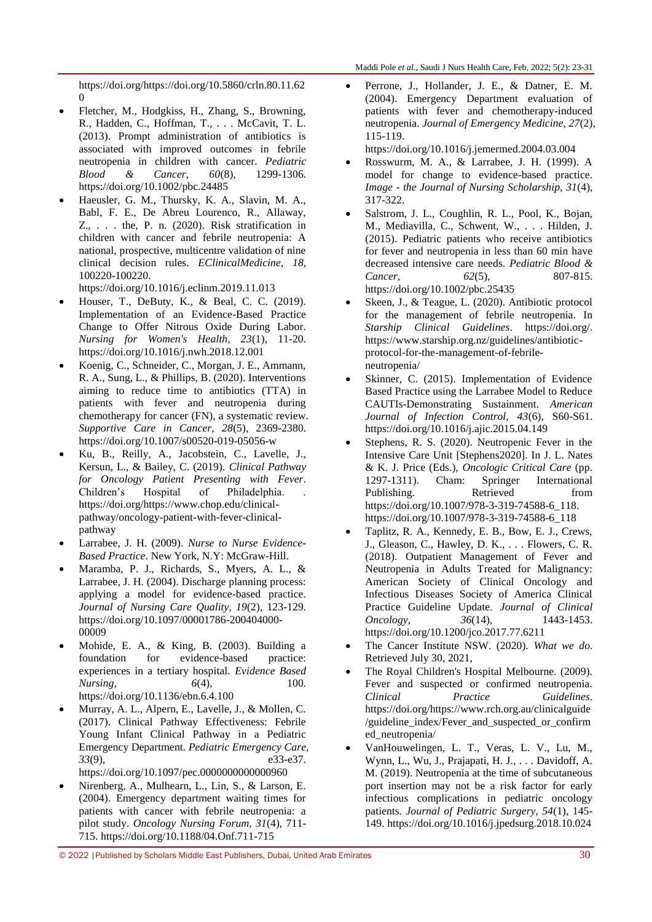[https://doi.org/https://doi.org/10.5860/crln.80.11.62](https://doi.org/https:/doi.org/10.5860/crln.80.11.620) [0](https://doi.org/https:/doi.org/10.5860/crln.80.11.620)

- Fletcher, M., Hodgkiss, H., Zhang, S., Browning, R., Hadden, C., Hoffman, T., . . . McCavit, T. L. (2013). Prompt administration of antibiotics is associated with improved outcomes in febrile neutropenia in children with cancer. *Pediatric Blood & Cancer, 60*(8), 1299-1306. <https://doi.org/10.1002/pbc.24485>
- Haeusler, G. M., Thursky, K. A., Slavin, M. A., Babl, F. E., De Abreu Lourenco, R., Allaway, Z., . . . the, P. n. (2020). Risk stratification in children with cancer and febrile neutropenia: A national, prospective, multicentre validation of nine clinical decision rules. *EClinicalMedicine, 18*, 100220-100220.

<https://doi.org/10.1016/j.eclinm.2019.11.013>

- Houser, T., DeButy, K., & Beal, C. C. (2019). Implementation of an Evidence-Based Practice Change to Offer Nitrous Oxide During Labor. *Nursing for Women's Health, 23*(1), 11-20. <https://doi.org/10.1016/j.nwh.2018.12.001>
- Koenig, C., Schneider, C., Morgan, J. E., Ammann, R. A., Sung, L., & Phillips, B. (2020). Interventions aiming to reduce time to antibiotics (TTA) in patients with fever and neutropenia during chemotherapy for cancer (FN), a systematic review. *Supportive Care in Cancer, 28*(5), 2369-2380. <https://doi.org/10.1007/s00520-019-05056-w>
- Ku, B., Reilly, A., Jacobstein, C., Lavelle, J., Kersun, L., & Bailey, C. (2019). *Clinical Pathway for Oncology Patient Presenting with Fever*. Children's Hospital of Philadelphia. [https://doi.org/https://www.chop.edu/clinical](https://doi.org/https:/www.chop.edu/clinical-pathway/oncology-patient-with-fever-clinical-pathway)[pathway/oncology-patient-with-fever-clinical](https://doi.org/https:/www.chop.edu/clinical-pathway/oncology-patient-with-fever-clinical-pathway)[pathway](https://doi.org/https:/www.chop.edu/clinical-pathway/oncology-patient-with-fever-clinical-pathway)
- Larrabee, J. H. (2009). *Nurse to Nurse Evidence-Based Practice*. New York, N.Y: McGraw-Hill.
- Maramba, P. J., Richards, S., Myers, A. L., & Larrabee, J. H. (2004). Discharge planning process: applying a model for evidence-based practice. *Journal of Nursing Care Quality, 19*(2), 123-129. [https://doi.org/10.1097/00001786-200404000-](https://doi.org/10.1097/00001786-200404000-00009) [00009](https://doi.org/10.1097/00001786-200404000-00009)
- Mohide, E. A., & King, B. (2003). Building a foundation for evidence-based practice: experiences in a tertiary hospital. *Evidence Based Nursing*, 6(4), 100. <https://doi.org/10.1136/ebn.6.4.100>
- Murray, A. L., Alpern, E., Lavelle, J., & Mollen, C. (2017). Clinical Pathway Effectiveness: Febrile Young Infant Clinical Pathway in a Pediatric Emergency Department. *Pediatric Emergency Care, 33*(9), e33-e37. <https://doi.org/10.1097/pec.0000000000000960>
- Nirenberg, A., Mulhearn, L., Lin, S., & Larson, E. (2004). Emergency department waiting times for patients with cancer with febrile neutropenia: a pilot study. *Oncology Nursing Forum, 31*(4), 711- 715.<https://doi.org/10.1188/04.Onf.711-715>

 Perrone, J., Hollander, J. E., & Datner, E. M. (2004). Emergency Department evaluation of patients with fever and chemotherapy-induced neutropenia. *Journal of Emergency Medicine, 27*(2), 115-119.

<https://doi.org/10.1016/j.jemermed.2004.03.004>

- Rosswurm, M. A., & Larrabee, J. H. (1999). A model for change to evidence-based practice. *Image - the Journal of Nursing Scholarship, 31*(4), 317-322.
- Salstrom, J. L., Coughlin, R. L., Pool, K., Bojan, M., Mediavilla, C., Schwent, W., . . . Hilden, J. (2015). Pediatric patients who receive antibiotics for fever and neutropenia in less than 60 min have decreased intensive care needs. *Pediatric Blood & Cancer,* 62(5), 807-815. <https://doi.org/10.1002/pbc.25435>
- Skeen, J., & Teague, L. (2020). Antibiotic protocol for the management of febrile neutropenia. In *Starship Clinical Guidelines*. [https://doi.org/.](https://doi.org/) [https://www.starship.org.nz/guidelines/antibiotic](https://www.starship.org.nz/guidelines/antibiotic-protocol-for-the-management-of-febrile-neutropenia/)[protocol-for-the-management-of-febrile](https://www.starship.org.nz/guidelines/antibiotic-protocol-for-the-management-of-febrile-neutropenia/)[neutropenia/](https://www.starship.org.nz/guidelines/antibiotic-protocol-for-the-management-of-febrile-neutropenia/)
- Skinner, C. (2015). Implementation of Evidence Based Practice using the Larrabee Model to Reduce CAUTIs-Demonstrating Sustainment. *American Journal of Infection Control, 43*(6), S60-S61. <https://doi.org/10.1016/j.ajic.2015.04.149>
- Stephens, R. S. (2020). Neutropenic Fever in the Intensive Care Unit [Stephens2020]. In J. L. Nates & K. J. Price (Eds.), *Oncologic Critical Care* (pp. 1297-1311). Cham: Springer International Publishing. Retrieved from [https://doi.org/10.1007/978-3-319-74588-6\\_118.](https://doi.org/10.1007/978-3-319-74588-6_118) [https://doi.org/10.1007/978-3-319-74588-6\\_118](https://doi.org/10.1007/978-3-319-74588-6_118)
- Taplitz, R. A., Kennedy, E. B., Bow, E. J., Crews, J., Gleason, C., Hawley, D. K., . . . Flowers, C. R. (2018). Outpatient Management of Fever and Neutropenia in Adults Treated for Malignancy: American Society of Clinical Oncology and Infectious Diseases Society of America Clinical Practice Guideline Update. *Journal of Clinical Oncology,*  $36(14)$ , 1443-1453. <https://doi.org/10.1200/jco.2017.77.6211>
- The Cancer Institute NSW. (2020). *What we do*. Retrieved July 30, 2021,
- The Royal Children's Hospital Melbourne. (2009). Fever and suspected or confirmed neutropenia. *Clinical Practice Guidelines*. [https://doi.org/https://www.rch.org.au/clinicalguide](https://doi.org/https:/www.rch.org.au/clinicalguide/guideline_index/Fever_and_suspected_or_confirmed_neutropenia/) [/guideline\\_index/Fever\\_and\\_suspected\\_or\\_confirm](https://doi.org/https:/www.rch.org.au/clinicalguide/guideline_index/Fever_and_suspected_or_confirmed_neutropenia/) [ed\\_neutropenia/](https://doi.org/https:/www.rch.org.au/clinicalguide/guideline_index/Fever_and_suspected_or_confirmed_neutropenia/)
- VanHouwelingen, L. T., Veras, L. V., Lu, M., Wynn, L., Wu, J., Prajapati, H. J., . . . Davidoff, A. M. (2019). Neutropenia at the time of subcutaneous port insertion may not be a risk factor for early infectious complications in pediatric oncology patients. *Journal of Pediatric Surgery, 54*(1), 145- 149[. https://doi.org/10.1016/j.jpedsurg.2018.10.024](https://doi.org/10.1016/j.jpedsurg.2018.10.024)

© 2022 |Published by Scholars Middle East Publishers, Dubai, United Arab Emirates 30